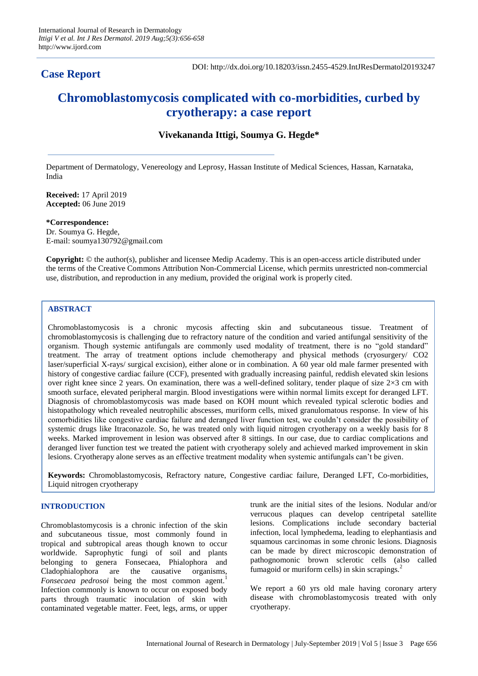# **Case Report**

DOI: http://dx.doi.org/10.18203/issn.2455-4529.IntJResDermatol20193247

# **Chromoblastomycosis complicated with co-morbidities, curbed by cryotherapy: a case report**

# **Vivekananda Ittigi, Soumya G. Hegde\***

Department of Dermatology, Venereology and Leprosy, Hassan Institute of Medical Sciences, Hassan, Karnataka, India

**Received:** 17 April 2019 **Accepted:** 06 June 2019

**\*Correspondence:** Dr. Soumya G. Hegde, E-mail: soumya130792@gmail.com

**Copyright:** © the author(s), publisher and licensee Medip Academy. This is an open-access article distributed under the terms of the Creative Commons Attribution Non-Commercial License, which permits unrestricted non-commercial use, distribution, and reproduction in any medium, provided the original work is properly cited.

# **ABSTRACT**

Chromoblastomycosis is a chronic mycosis affecting skin and subcutaneous tissue. Treatment of chromoblastomycosis is challenging due to refractory nature of the condition and varied antifungal sensitivity of the organism. Though systemic antifungals are commonly used modality of treatment, there is no "gold standard" treatment. The array of treatment options include chemotherapy and physical methods (cryosurgery/ CO2 laser/superficial X-rays/ surgical excision), either alone or in combination. A 60 year old male farmer presented with history of congestive cardiac failure (CCF), presented with gradually increasing painful, reddish elevated skin lesions over right knee since 2 years. On examination, there was a well-defined solitary, tender plaque of size  $2\times3$  cm with smooth surface, elevated peripheral margin. Blood investigations were within normal limits except for deranged LFT. Diagnosis of chromoblastomycosis was made based on KOH mount which revealed typical sclerotic bodies and histopathology which revealed neutrophilic abscesses, muriform cells, mixed granulomatous response. In view of his comorbidities like congestive cardiac failure and deranged liver function test, we couldn't consider the possibility of systemic drugs like Itraconazole. So, he was treated only with liquid nitrogen cryotherapy on a weekly basis for 8 weeks. Marked improvement in lesion was observed after 8 sittings. In our case, due to cardiac complications and deranged liver function test we treated the patient with cryotherapy solely and achieved marked improvement in skin lesions. Cryotherapy alone serves as an effective treatment modality when systemic antifungals can't be given.

**Keywords:** Chromoblastomycosis, Refractory nature, Congestive cardiac failure, Deranged LFT, Co-morbidities, Liquid nitrogen cryotherapy

# **INTRODUCTION**

Chromoblastomycosis is a chronic infection of the skin and subcutaneous tissue, most commonly found in tropical and subtropical areas though known to occur worldwide. Saprophytic fungi of soil and plants belonging to genera Fonsecaea, Phialophora and Cladophialophora are the causative organisms, *Fonsecaea pedrosoi* being the most common agent.<sup>1</sup> Infection commonly is known to occur on exposed body parts through traumatic inoculation of skin with contaminated vegetable matter. Feet, legs, arms, or upper

trunk are the initial sites of the lesions. Nodular and/or verrucous plaques can develop centripetal satellite lesions. Complications include secondary bacterial infection, local lymphedema, leading to elephantiasis and squamous carcinomas in some chronic lesions. Diagnosis can be made by direct microscopic demonstration of pathognomonic brown sclerotic cells (also called fumagoid or muriform cells) in skin scrapings.<sup>2</sup>

We report a 60 yrs old male having coronary artery disease with chromoblastomycosis treated with only cryotherapy.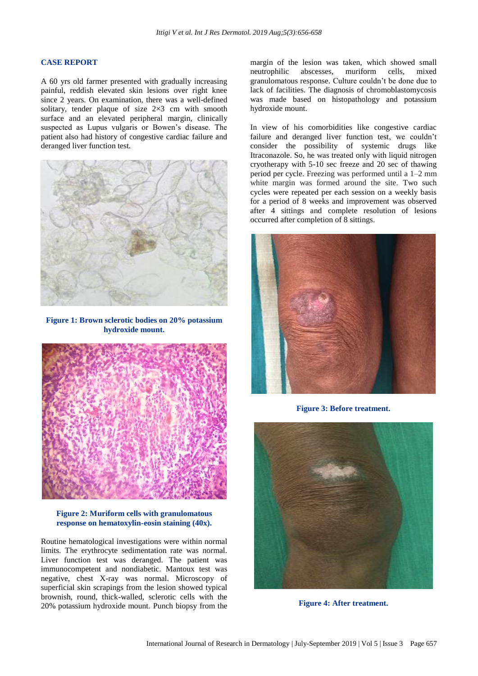#### **CASE REPORT**

A 60 yrs old farmer presented with gradually increasing painful, reddish elevated skin lesions over right knee since 2 years. On examination, there was a well-defined solitary, tender plaque of size  $2\times3$  cm with smooth surface and an elevated peripheral margin, clinically suspected as Lupus vulgaris or Bowen's disease. The patient also had history of congestive cardiac failure and deranged liver function test.



**Figure 1: Brown sclerotic bodies on 20% potassium hydroxide mount.**



**Figure 2: Muriform cells with granulomatous response on hematoxylin-eosin staining (40x).**

Routine hematological investigations were within normal limits. The erythrocyte sedimentation rate was normal. Liver function test was deranged. The patient was immunocompetent and nondiabetic. Mantoux test was negative, chest X-ray was normal. Microscopy of superficial skin scrapings from the lesion showed typical brownish, round, thick-walled, sclerotic cells with the 20% potassium hydroxide mount. Punch biopsy from the margin of the lesion was taken, which showed small neutrophilic abscesses, muriform cells, mixed granulomatous response. Culture couldn't be done due to lack of facilities. The diagnosis of chromoblastomycosis was made based on histopathology and potassium hydroxide mount.

In view of his comorbidities like congestive cardiac failure and deranged liver function test, we couldn't consider the possibility of systemic drugs like Itraconazole. So, he was treated only with liquid nitrogen cryotherapy with 5-10 sec freeze and 20 sec of thawing period per cycle. Freezing was performed until a 1–2 mm white margin was formed around the site. Two such cycles were repeated per each session on a weekly basis for a period of 8 weeks and improvement was observed after 4 sittings and complete resolution of lesions occurred after completion of 8 sittings.



**Figure 3: Before treatment.**



**Figure 4: After treatment.**